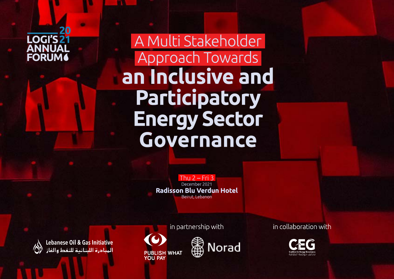

A Multi Stakeholder Approach Towards an Inclusive and Participatory **Energy Sector** Governance

> Thu  $2$  – Fri 3 December 2021 **Radisson Blu Verdun Hotel** Beirut, Lebanon

Lebanese Oil & Gas Initiative المبادرة اللبنانية للنفط والغاز

in partnership with

**PUBLISH WHAT YOU PAY** 



in collaboration with

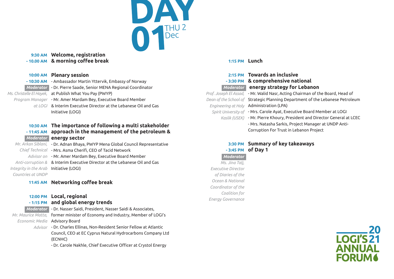

## **Welcome, registration 9:30 AM & morning coffee break - 10.00 AM**

#### **Plenary session 10:00 AM**

**- 10:30 AM** - Ambassador Martin Yttervik, Embassy of Norway

- Moderator  **Dr. Pierre Saade, Senior MENA Regional Coordinator**
- Ms. Christelle El Hayek, at Publish What You Pay (PWYP)
	- Program Manager M**r. Amer Mardam Bey, Executive Board Member** 
		- & Interim Executive Director at the Lebanese Oil and Gas *at LOGI* Initiative (LOGI)

# **The importance of following a multi stakeholder 10:30 AM approach in the management of the petroleum & - 11:45 AM energy sector** *Moderator*

*Countries at UNDP*

*Mr. Arkan Siblani, -* Dr. Adnan Bhaya, PWYP Mena Global Council Representative Chief Technical - Mrs. Asma Cherifi, CEO of Tacid Network Advisor on - Mr. Amer Mardam Bey, Executive Board Member Anti-corruption & & Interim Executive Director at the Lebanese Oil and Gas Integrity in the Arab **Initiative (LOGI)** 

# 11:45 AM Networking coffee break

# **Local, regional 12:00 PM**

## **and global energy trends - 1:15 PM**

Moderator - Dr. Nasser Saidi, President, Nasser Saidi & Associates, Mr. Maurice Matta, former minister of Economy and Industry, Member of LOGI's **Economic Media Advisory Board** Advisor - Dr. Charles Ellinas, Non-Resident Senior Fellow at Atlantic Council, CEO at EC Cyprus Natural Hydrocarbons Company Ltd

(ECNHC)

- Dr. Carole Nakhle, Chief Executive Officer at Crystol Energy

#### **1:15 PM Lunch**

| 2:15 PM Towards an inclusive                                                   |
|--------------------------------------------------------------------------------|
| -3:30 PM & comprehensive national                                              |
| Moderator energy strategy for Lebanon                                          |
| Prof. Joseph El Assad, - Mr. Walid Nasr, Acting Chairman of the Board, Head of |
| Dean of the School of Strategic Planning Department of the Lebanese Petroleum  |
| Engineering at Holy Administration (LPA)                                       |
| Spirit University of - Mrs. Carole Ayat, Executive Board Member at LOGI        |
| Kaslik (USEK) - Mr. Pierre Khoury, President and Director General at LCEC      |
| - Mrs. Natasha Sarkis, Project Manager at UNDP Anti-                           |
| Corruption For Trust in Lebanon Project                                        |
|                                                                                |

## **3:30 PM Summary of key takeaways - 3:45 PM of Day 1**

*Moderator Ms. Jina Talj, Executive Director of Diaries of the Ocean & National Coordinator of the Coalition for Energy Governance*